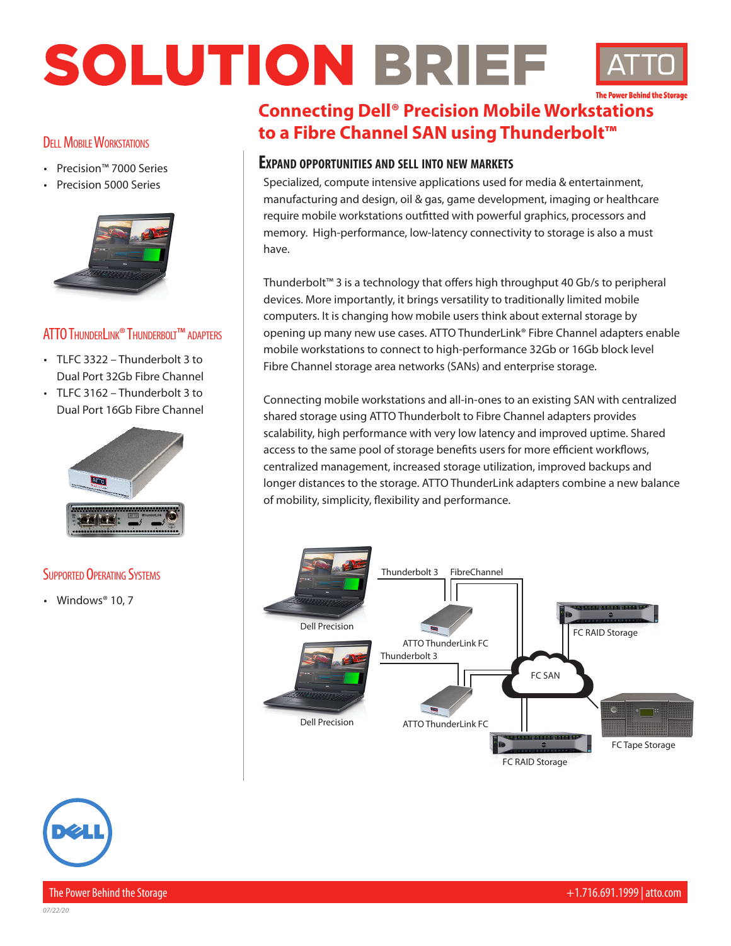## SOLUTION BRIEF



#### **DELL MOBILE WORKSTATIONS**

- Precision™ 7000 Series
- Precision 5000 Series



#### ATTOThunderLink® Thunderbolt™ adapters

- TLFC 3322 Thunderbolt 3 to Dual Port 32Gb Fibre Channel
- TLFC 3162 Thunderbolt 3 to Dual Port 16Gb Fibre Channel



#### **SUPPORTED OPERATING SYSTEMS**

• Windows® 10, 7

### **Connecting Dell® Precision Mobile Workstations to a Fibre Channel SAN using Thunderbolt™**

#### **Expand opportunities and sell into new markets**

Specialized, compute intensive applications used for media & entertainment, manufacturing and design, oil & gas, game development, imaging or healthcare require mobile workstations outfitted with powerful graphics, processors and memory. High-performance, low-latency connectivity to storage is also a must have.

Thunderbolt™ 3 is a technology that offers high throughput 40 Gb/s to peripheral devices. More importantly, it brings versatility to traditionally limited mobile computers. It is changing how mobile users think about external storage by opening up many new use cases. ATTO ThunderLink® Fibre Channel adapters enable mobile workstations to connect to high-performance 32Gb or 16Gb block level Fibre Channel storage area networks (SANs) and enterprise storage.

Connecting mobile workstations and all-in-ones to an existing SAN with centralized shared storage using ATTO Thunderbolt to Fibre Channel adapters provides scalability, high performance with very low latency and improved uptime. Shared access to the same pool of storage benefits users for more efficient workflows, centralized management, increased storage utilization, improved backups and longer distances to the storage. ATTO ThunderLink adapters combine a new balance of mobility, simplicity, flexibility and performance.